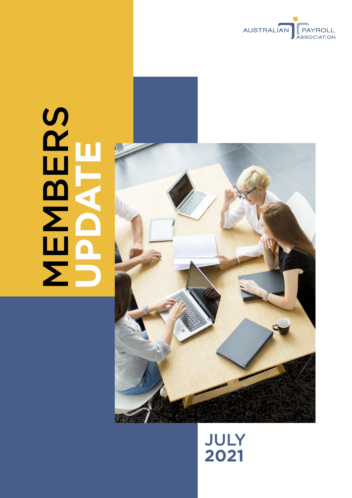

# SCHOOL NEWS **MBERS UPDATE**



# July **2021**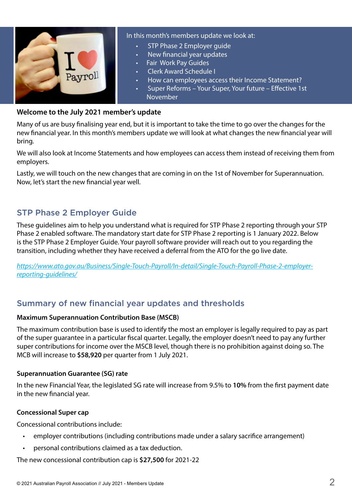

#### In this month's members update we look at:

- STP Phase 2 Employer quide
- New financial year updates
- **Fair Work Pay Guides**
- **Clerk Award Schedule I**
- How can employees access their Income Statement?
- Super Reforms Your Super, Your future Effective 1st November

#### **Welcome to the July 2021 member's update**

Many of us are busy finalising year end, but it is important to take the time to go over the changes for the new financial year. In this month's members update we will look at what changes the new financial year will bring.

We will also look at Income Statements and how employees can access them instead of receiving them from employers.

Lastly, we will touch on the new changes that are coming in on the 1st of November for Superannuation. Now, let's start the new financial year well.

# STP Phase 2 Employer Guide

These guidelines aim to help you understand what is required for STP Phase 2 reporting through your STP Phase 2 enabled software. The mandatory start date for STP Phase 2 reporting is 1 January 2022. Below is the STP Phase 2 Employer Guide. Your payroll software provider will reach out to you regarding the transition, including whether they have received a deferral from the ATO for the go live date.

*[https://www.ato.gov.au/Business/Single-Touch-Payroll/In-detail/Single-Touch-Payroll-Phase-2-employer](https://www.ato.gov.au/Business/Single-Touch-Payroll/In-detail/Single-Touch-Payroll-Phase-2-employer-reporting-guidelines/)[reporting-guidelines/](https://www.ato.gov.au/Business/Single-Touch-Payroll/In-detail/Single-Touch-Payroll-Phase-2-employer-reporting-guidelines/)*

# Summary of new financial year updates and thresholds

#### **Maximum Superannuation Contribution Base (MSCB)**

The maximum contribution base is used to identify the most an employer is legally required to pay as part of the super guarantee in a particular fiscal quarter. Legally, the employer doesn't need to pay any further super contributions for income over the MSCB level, though there is no prohibition against doing so. The MCB will increase to **\$58,920** per quarter from 1 July 2021.

#### **Superannuation Guarantee (SG) rate**

In the new Financial Year, the legislated SG rate will increase from 9.5% to **10%** from the first payment date in the new financial year.

#### **Concessional Super cap**

Concessional contributions include:

- employer contributions (including contributions made under a salary sacrifice arrangement)
- personal contributions claimed as a tax deduction.

The new concessional contribution cap is **\$27,500** for 2021-22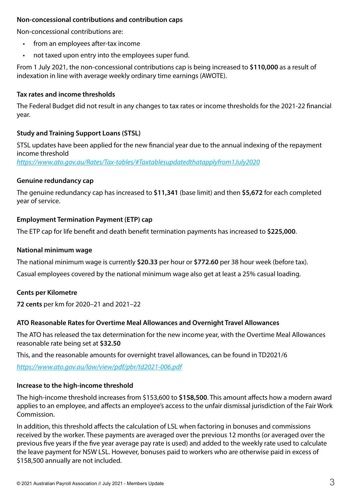#### **Non-concessional contributions and contribution caps**

Non-concessional contributions are:

- from an employees after-tax income
- not taxed upon entry into the employees super fund.

From 1 July 2021, the non-concessional contributions cap is being increased to **\$110,000** as a result of indexation in line with average weekly ordinary time earnings (AWOTE).

#### **Tax rates and income thresholds**

The Federal Budget did not result in any changes to tax rates or income thresholds for the 2021-22 financial year.

#### **Study and Training Support Loans (STSL)**

STSL updates have been applied for the new financial year due to the annual indexing of the repayment income threshold

*<https://www.ato.gov.au/Rates/Tax-tables/#Taxtablesupdatedthatapplyfrom1July2020>*

#### **Genuine redundancy cap**

The genuine redundancy cap has increased to **\$11,341** (base limit) and then **\$5,672** for each completed year of service.

#### **Employment Termination Payment (ETP) cap**

The ETP cap for life benefit and death benefit termination payments has increased to **\$225,000**.

#### **National minimum wage**

The national minimum wage is currently **\$20.33** per hour or **\$772.60** per 38 hour week (before tax).

Casual employees covered by the national minimum wage also get at least a 25% casual loading.

#### **Cents per Kilometre**

**72 cents** per km for 2020–21 and 2021–22

# **ATO Reasonable Rates for Overtime Meal Allowances and Overnight Travel Allowances**

The ATO has released the tax determination for the new income year, with the Overtime Meal Allowances reasonable rate being set at **\$32.50**

This, and the reasonable amounts for overnight travel allowances, can be found in TD2021/6

*<https://www.ato.gov.au/law/view/pdf/pbr/td2021-006.pdf>*

# **Increase to the high-income threshold**

The high-income threshold increases from \$153,600 to **\$158,500**. This amount affects how a modern award applies to an employee, and affects an employee's access to the unfair dismissal jurisdiction of the Fair Work Commission.

In addition, this threshold affects the calculation of LSL when factoring in bonuses and commissions received by the worker. These payments are averaged over the previous 12 months (or averaged over the previous five years if the five year average pay rate is used) and added to the weekly rate used to calculate the leave payment for NSW LSL. However, bonuses paid to workers who are otherwise paid in excess of \$158,500 annually are not included.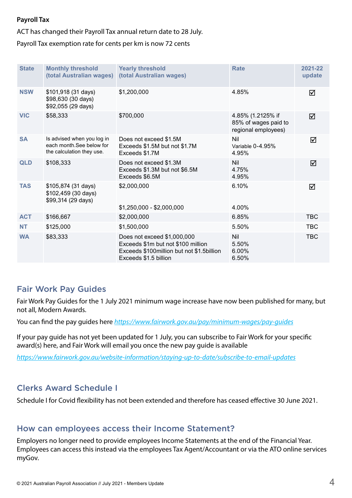#### **Payroll Tax**

ACT has changed their Payroll Tax annual return date to 28 July.

Payroll Tax exemption rate for cents per km is now 72 cents

| <b>State</b> | <b>Monthly threshold</b><br>(total Australian wages)                                 | <b>Yearly threshold</b><br>(total Australian wages)                                                                                       | <b>Rate</b>                                                      | 2021-22<br>update |
|--------------|--------------------------------------------------------------------------------------|-------------------------------------------------------------------------------------------------------------------------------------------|------------------------------------------------------------------|-------------------|
| <b>NSW</b>   | \$101,918 (31 days)<br>\$98,630 (30 days)<br>\$92,055 (29 days)                      | \$1,200,000                                                                                                                               | 4.85%                                                            | ☑                 |
| <b>VIC</b>   | \$58,333                                                                             | \$700,000                                                                                                                                 | 4.85% (1.2125% if<br>85% of wages paid to<br>regional employees) | ☑                 |
| <b>SA</b>    | Is advised when you log in<br>each month. See below for<br>the calculation they use. | Does not exceed \$1.5M<br>Exceeds \$1.5M but not \$1.7M<br>Exceeds \$1.7M                                                                 | Nil<br>Variable 0-4.95%<br>4.95%                                 | ☑                 |
| <b>QLD</b>   | \$108,333                                                                            | Does not exceed \$1.3M<br>Exceeds \$1.3M but not \$6.5M<br>Exceeds \$6.5M                                                                 | <b>Nil</b><br>4.75%<br>4.95%                                     | ☑                 |
| <b>TAS</b>   | \$105,874 (31 days)<br>\$102,459 (30 days)<br>\$99,314 (29 days)                     | \$2,000,000<br>$$1,250,000 - $2,000,000$                                                                                                  | 6.10%<br>4.00%                                                   | ☑                 |
| <b>ACT</b>   | \$166,667                                                                            | \$2,000,000                                                                                                                               | 6.85%                                                            | <b>TBC</b>        |
| <b>NT</b>    | \$125,000                                                                            | \$1,500,000                                                                                                                               | 5.50%                                                            | <b>TBC</b>        |
| <b>WA</b>    | \$83,333                                                                             | Does not exceed \$1,000,000<br>Exceeds \$1m but not \$100 million<br>Exceeds \$100 million but not \$1.5 billion<br>Exceeds \$1.5 billion | Nil<br>5.50%<br>6.00%<br>6.50%                                   | <b>TBC</b>        |

## Fair Work Pay Guides

Fair Work Pay Guides for the 1 July 2021 minimum wage increase have now been published for many, but not all, Modern Awards.

You can find the pay guides here *<https://www.fairwork.gov.au/pay/minimum-wages/pay-guides>*

If your pay guide has not yet been updated for 1 July, you can subscribe to Fair Work for your specific award(s) here, and Fair Work will email you once the new pay guide is available

*<https://www.fairwork.gov.au/website-information/staying-up-to-date/subscribe-to-email-updates>*

# Clerks Award Schedule I

Schedule I for Covid flexibility has not been extended and therefore has ceased effective 30 June 2021.

## How can employees access their Income Statement?

Employers no longer need to provide employees Income Statements at the end of the Financial Year. Employees can access this instead via the employees Tax Agent/Accountant or via the ATO online services myGov.